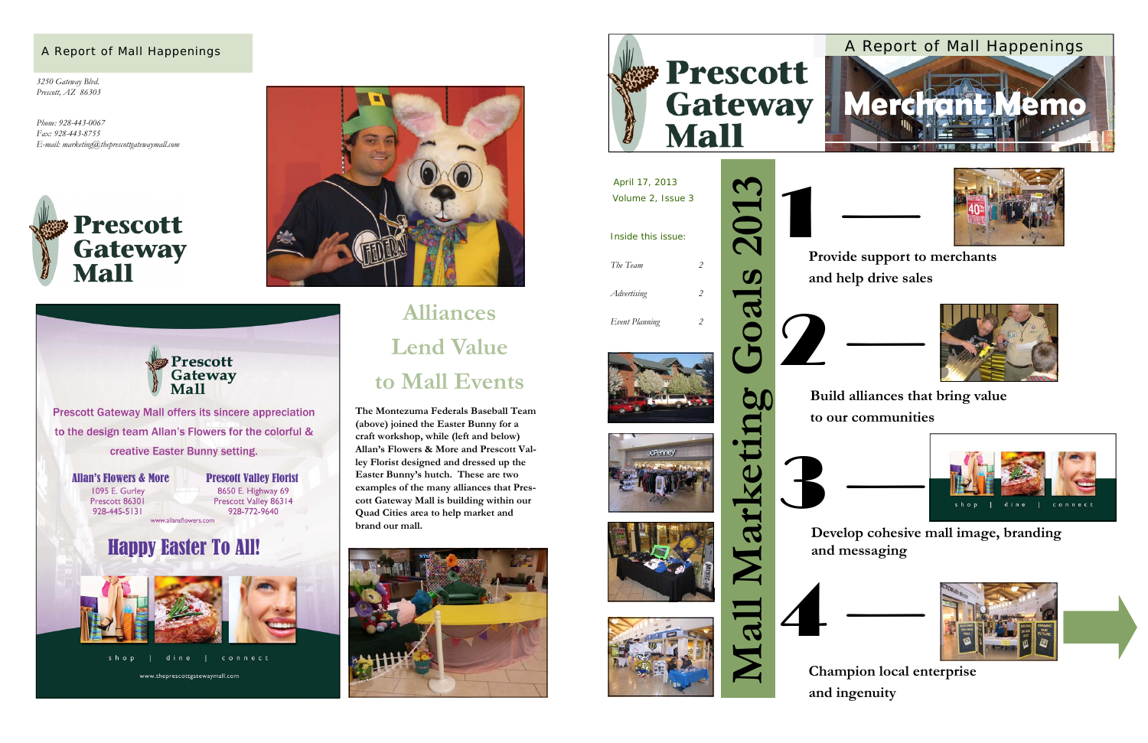*3250 Gateway Blvd. Prescott, AZ 86303* 

*Phone: 928-443-0067 Fax: 928-443-8755 E-mail: marketing@theprescottgatewaymall.com* 







connect shop dine | www.theprescottgatewaymall.com



#### A Report of Mall Happenings

# **Alliances Lend Value to Mall Events**

**The Montezuma Federals Baseball Team (above) joined the Easter Bunny for a craft workshop, while (left and below) Allan's Flowers & More and Prescott Valley Florist designed and dressed up the Easter Bunny's hutch. These are two examples of the many alliances that Prescott Gateway Mall is building within our Quad Cities area to help market and brand our mall.**